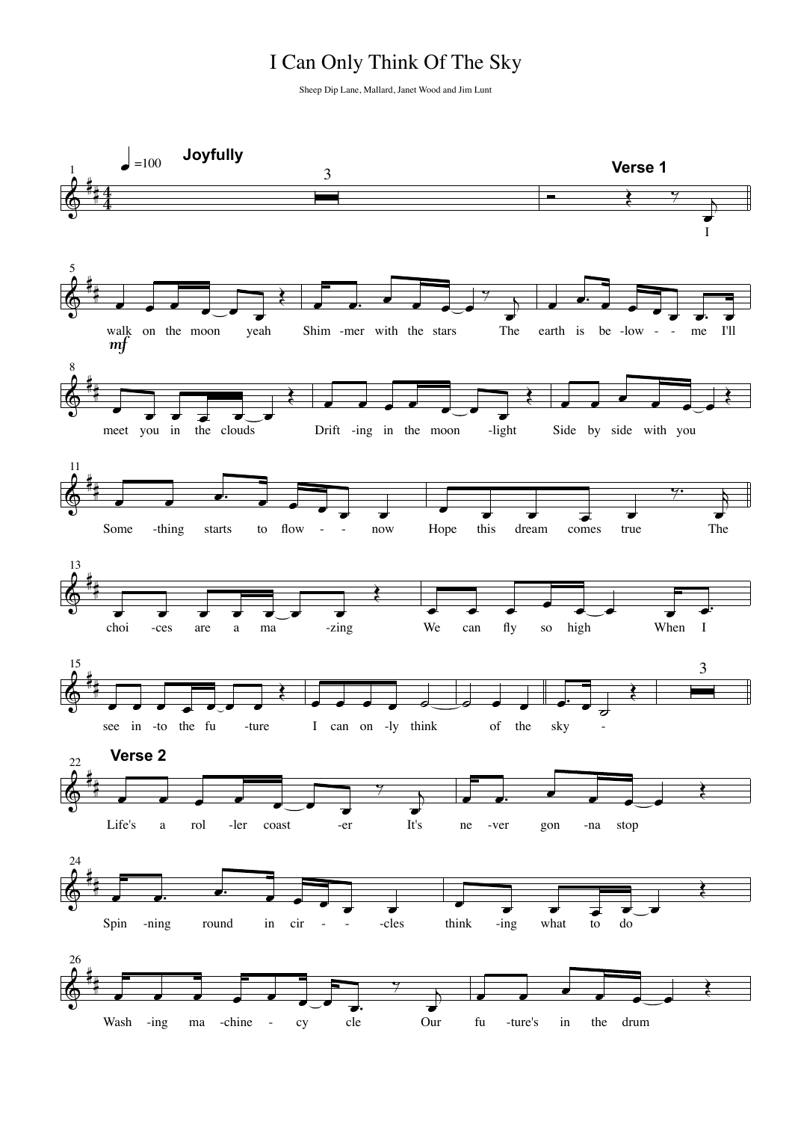## I Can Only Think Of The Sky

Sheep Dip Lane, Mallard, Janet Wood and Jim Lunt

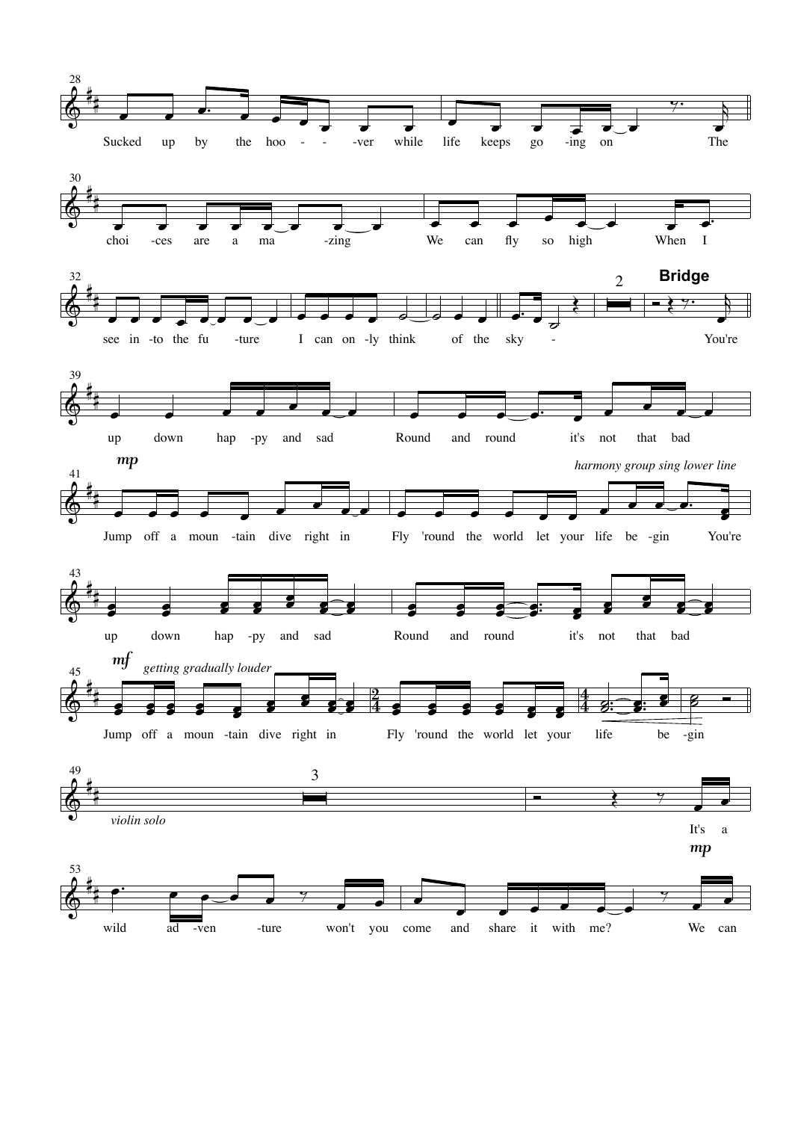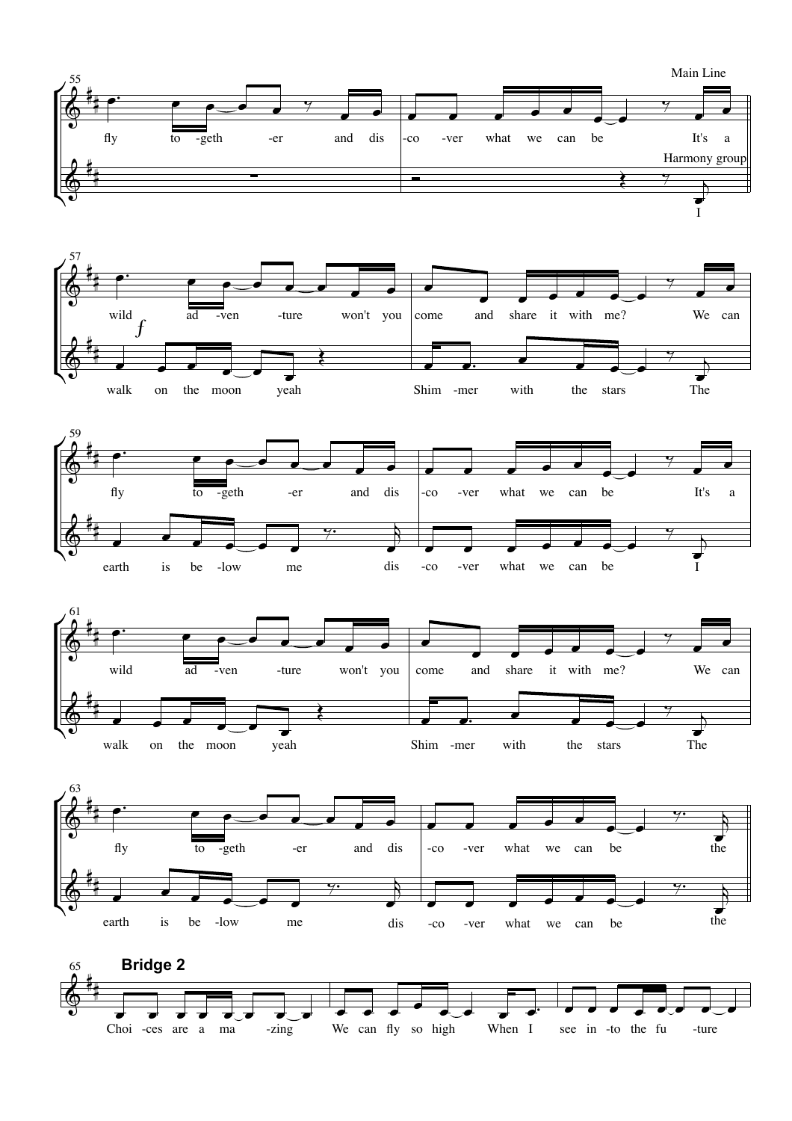